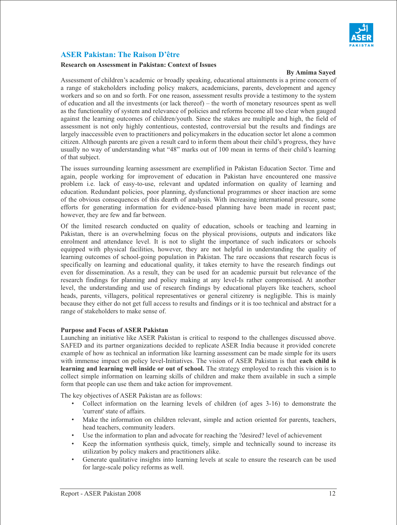

# **ASER Pakistan: The Raison D'être**

#### **Research on Assessment in Pakistan: Context of Issues**

#### **By Amima Sayed**

Assessment of children's academic or broadly speaking, educational attainments is a prime concern of a range of stakeholders including policy makers, academicians, parents, development and agency workers and so on and so forth. For one reason, assessment results provide a testimony to the system of education and all the investments (or lack thereof) – the worth of monetary resources spent as well as the functionality of system and relevance of policies and reforms become all too clear when gauged against the learning outcomes of children/youth. Since the stakes are multiple and high, the field of assessment is not only highly contentious, contested, controversial but the results and findings are largely inaccessible even to practitioners and policymakers in the education sector let alone a common citizen. Although parents are given a result card to inform them about their child's progress, they have usually no way of understanding what "48" marks out of 100 mean in terms of their child's learning of that subject.

The issues surrounding learning assessment are exemplified in Pakistan Education Sector. Time and again, people working for improvement of education in Pakistan have encountered one massive problem i.e. lack of easy-to-use, relevant and updated information on quality of learning and education. Redundant policies, poor planning, dysfunctional programmes or sheer inaction are some of the obvious consequences of this dearth of analysis. With increasing international pressure, some efforts for generating information for evidence-based planning have been made in recent past; however, they are few and far between.

Of the limited research conducted on quality of education, schools or teaching and learning in Pakistan, there is an overwhelming focus on the physical provisions, outputs and indicators like enrolment and attendance level. It is not to slight the importance of such indicators or schools equipped with physical facilities, however, they are not helpful in understanding the quality of learning outcomes of school-going population in Pakistan. The rare occasions that research focus is specifically on learning and educational quality, it takes eternity to have the research findings out even for dissemination. As a result, they can be used for an academic pursuit but relevance of the research findings for planning and policy making at any level-Is rather compromised. At another level, the understanding and use of research findings by educational players like teachers, school heads, parents, villagers, political representatives or general citizenry is negligible. This is mainly because they either do not get full access to results and findings or it is too technical and abstract for a range of stakeholders to make sense of.

#### **Purpose and Focus of ASER Pakistan**

Launching an initiative like ASER Pakistan is critical to respond to the challenges discussed above. SAFED and its partner organizations decided to replicate ASER India because it provided concrete example of how as technical an information like learning assessment can be made simple for its users with immense impact on policy level-Initiatives. The vision of ASER Pakistan is that **each child is learning and learning well inside or out of school.** The strategy employed to reach this vision is to collect simple information on learning skills of children and make them available in such a simple form that people can use them and take action for improvement.

The key objectives of ASER Pakistan are as follows:

- Collect information on the learning levels of children (of ages 3-16) to demonstrate the 'current' state of affairs.
- Make the information on children relevant, simple and action oriented for parents, teachers, head teachers, community leaders.
- Use the information to plan and advocate for reaching the ?desired? level of achievement
- Keep the information synthesis quick, timely, simple and technically sound to increase its utilization by policy makers and practitioners alike.
- Generate qualitative insights into learning levels at scale to ensure the research can be used for large-scale policy reforms as well.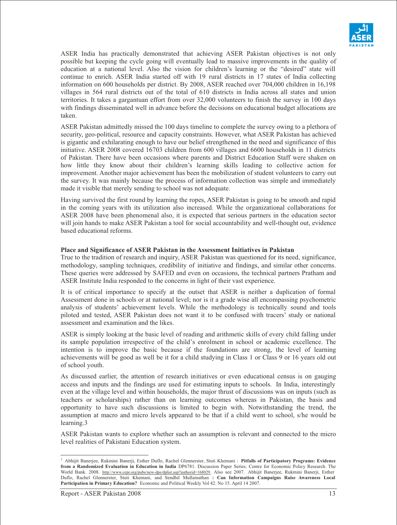

ASER India has practically demonstrated that achieving ASER Pakistan objectives is not only possible but keeping the cycle going will eventually lead to massive improvements in the quality of education at a national level. Also the vision for children's learning or the "desired" state will continue to enrich. ASER India started off with 19 rural districts in 17 states of India collecting information on 600 households per district. By 2008, ASER reached over 704,000 children in 16,198 villages in 564 rural districts out of the total of 610 districts in India across all states and union territories. It takes a gargantuan effort from over 32,000 volunteers to finish the survey in 100 days with findings disseminated well in advance before the decisions on educational budget allocations are taken.

ASER Pakistan admittedly missed the 100 days timeline to complete the survey owing to a plethora of security, geo-political, resource and capacity constraints. However, what ASER Pakistan has achieved is gigantic and exhilarating enough to have our belief strengthened in the need and significance of this initiative. ASER 2008 covered 16703 children from 600 villages and 6600 households in 11 districts of Pakistan. There have been occasions where parents and District Education Staff were shaken on how little they know about their children's learning skills leading to collective action for improvement. Another major achievement has been the mobilization of student volunteers to carry out the survey. It was mainly because the process of information collection was simple and immediately made it visible that merely sending to school was not adequate.

Having survived the first round by learning the ropes, ASER Pakistan is going to be smooth and rapid in the coming years with its utilization also increased. While the organizational collaborations for ASER 2008 have been phenomenal also, it is expected that serious partners in the education sector will join hands to make ASER Pakistan a tool for social accountability and well-thought out, evidence based educational reforms.

#### **Place and Significance of ASER Pakistan in the Assessment Initiatives in Pakistan**

True to the tradition of research and inquiry, ASER Pakistan was questioned for its need, significance, methodology, sampling techniques, credibility of initiative and findings, and similar other concerns. These queries were addressed by SAFED and even on occasions, the technical partners Pratham and ASER Institute India responded to the concerns in light of their vast experience.

It is of critical importance to specify at the outset that ASER is neither a duplication of formal Assessment done in schools or at national level; nor is it a grade wise all encompassing psychometric analysis of students' achievement levels. While the methodology is technically sound and tools piloted and tested, ASER Pakistan does not want it to be confused with tracers' study or national assessment and examination and the likes.

ASER is simply looking at the basic level of reading and arithmetic skills of every child falling under its sample population irrespective of the child's enrolment in school or academic excellence. The intention is to improve the basic because if the foundations are strong, the level of learning achievements will be good as well be it for a child studying in Class 1 or Class 9 or 16 years old out of school youth.

As discussed earlier, the attention of research initiatives or even educational census is on gauging access and inputs and the findings are used for estimating inputs to schools. In India, interestingly even at the village level and within households, the major thrust of discussions was on inputs (such as teachers or scholarships) rather than on learning outcomes whereas in Pakistan, the basis and opportunity to have such discussions is limited to begin with. Notwithstanding the trend, the assumption at macro and micro levels appeared to be that if a child went to school, s/he would be learning.3

ASER Pakistan wants to explore whether such an assumption is relevant and connected to the micro level realities of Pakistani Education system.

 3 Abhijit Banerjee, Rukmini Banerji, Esther Duflo, Rachel Glennerster, Stuti Khemani : **Pitfalls of Participatory Programs: Evidence from a Randomized Evaluation in Education in India** DP6781. Discussion Paper Series. Centre for Economic Policy Research. The World Bank. 2008. http://www.cepr.org/pubs/new-dps/dplist.asp?authorid=168029. Also see 2007. Abhijit Banerjee, Rukmini Banerji, Esther Duflo, Rachel Glennerster, Stuti Khemani, and Sendhil Mullainathan **: Can Information Campaigns Raise Awareness Local Participation in Primary Education?** Economic and Political Weekly Vol 42. No 15. April 14 2007.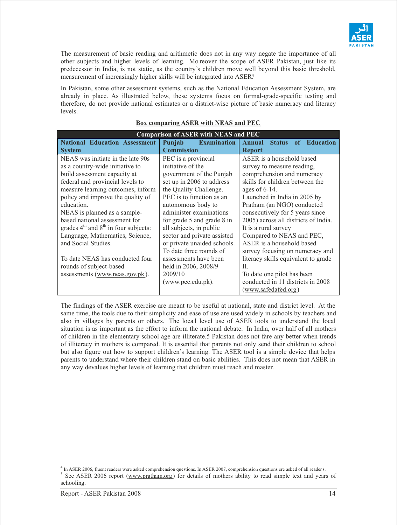

The measurement of basic reading and arithmetic does not in any way negate the importance of all other subjects and higher levels of learning. Mo reover the scope of ASER Pakistan, just like its predecessor in India, is not static, as the country's children move well beyond this basic threshold, measurement of increasingly higher skills will be integrated into ASER<sup>4</sup>.

In Pakistan, some other assessment systems, such as the National Education Assessment System, are already in place. As illustrated below, these sy stems focus on formal-grade-specific testing and therefore, do not provide national estimates or a district-wise picture of basic numeracy and literacy levels.

| <b>Comparison of ASER with NEAS and PEC</b> |                              |                                         |
|---------------------------------------------|------------------------------|-----------------------------------------|
| <b>National Education Assessment</b>        | Punjab<br><b>Examination</b> | <b>Status</b><br>of Education<br>Annual |
| <b>System</b>                               | <b>Commission</b>            | <b>Report</b>                           |
| NEAS was initiate in the late 90s           | PEC is a provincial          | ASER is a household based               |
| as a country-wide initiative to             | initiative of the            | survey to measure reading,              |
| build assessment capacity at                | government of the Punjab     | comprehension and numeracy              |
| federal and provincial levels to            | set up in 2006 to address    | skills for children between the         |
| measure learning outcomes, inform           | the Quality Challenge.       | ages of $6-14$ .                        |
| policy and improve the quality of           | PEC is to function as an     | Launched in India in 2005 by            |
| education.                                  | autonomous body to           | Pratham (an NGO) conducted              |
| NEAS is planned as a sample-                | administer examinations      | consecutively for 5 years since         |
| based national assessment for               | for grade 5 and grade 8 in   | 2005) across all districts of India.    |
| grades $4th$ and $8th$ in four subjects:    | all subjects, in public      | It is a rural survey                    |
| Language, Mathematics, Science,             | sector and private assisted  | Compared to NEAS and PEC,               |
| and Social Studies.                         | or private unaided schools.  | ASER is a household based               |
|                                             | To date three rounds of      | survey focusing on numeracy and         |
| To date NEAS has conducted four             | assessments have been        | literacy skills equivalent to grade     |
| rounds of subject-based                     | held in 2006, 2008/9         | H.                                      |
| assessments (www.neas.gov.pk).              | 2009/10                      | To date one pilot has been              |
|                                             | (www.pec.edu.pk).            | conducted in 11 districts in 2008       |
|                                             |                              | (www.safedafed.org)                     |

## **Box comparing ASER with NEAS and PEC**

The findings of the ASER exercise are meant to be useful at national, state and district level. At the same time, the tools due to their simplicity and ease of use are used widely in schools by teachers and also in villages by parents or others. The local level use of ASER tools to understand the local situation is as important as the effort to inform the national debate. In India, over half of all mothers of children in the elementary school age are illiterate.5 Pakistan does not fare any better when trends of illiteracy in mothers is compared. It is essential that parents not only send their children to school but also figure out how to support children's learning. The ASER tool is a simple device that helps parents to understand where their children stand on basic abilities. This does not mean that ASER in any way devalues higher levels of learning that children must reach and master.

 $\overline{a}$ <sup>4</sup> In ASER 2006, fluent readers were asked comprehension questions. In ASER 2007, comprehension questions ere asked of all readers.

<sup>&</sup>lt;sup>5</sup> See ASER 2006 report (www.pratham.org) for details of mothers ability to read simple text and years of schooling.